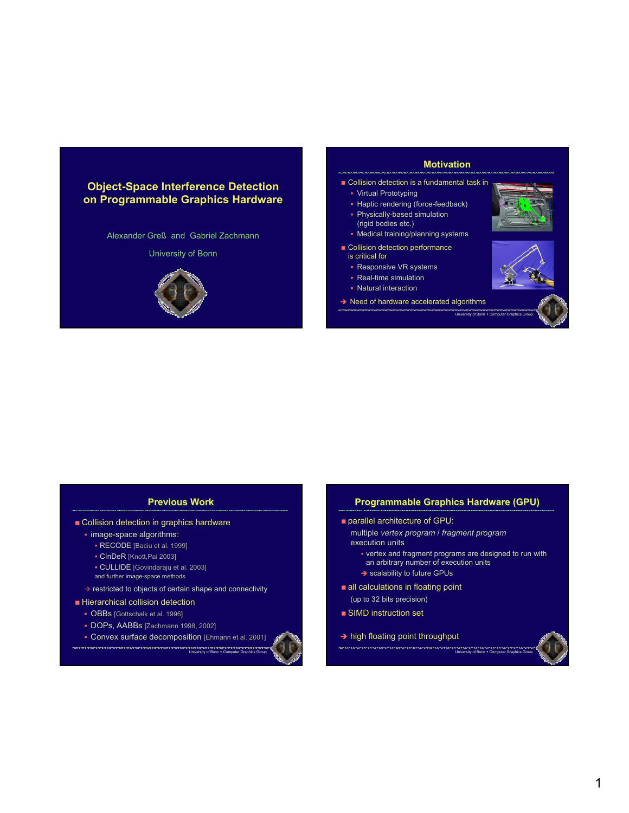# **Object-Space Interference Detection on Programmable Graphics Hardware**

Alexander Greß and Gabriel Zachmann

#### University of Bonn



## **Motivation**

- **Collision detection is a fundamental task in** 
	- Virtual Prototyping
	- Haptic rendering (force-feedback)
	- Physically-based simulation
	- (rigid bodies etc.)
	- Medical training/planning systems
- Collision detection performance
	- is critical for
	- Responsive VR systems
	- Real-time simulation
	- Natural interaction
- $\rightarrow$  Need of hardware accelerated algorithms





University of Bonn . Compute

## **Previous Previous Work**

- Collision detection in graphics hardware
	- image-space algorithms:
		- RECODE [Baciu et al. 1999]
		- CInDeR [Knott,Pai 2003]
		- CULLIDE [Govindaraju et al. 2003]
		- and further image-space methods
- $\rightarrow$  restricted to objects of certain shape and connectivity
- $\blacksquare$  Hierarchical collision detection
	- **OBBs** [Gottschalk et al. 1996]
	- DOPs, AABBs [Zachmann 1998, 2002]

**Convex surface decomposition [Ehmann et al. 2001]** 



## **Programmable Graphics Hardware (GPU) Programmable Graphics Hardware (GPU) Programmable Graphics Hardware (GPU)**

- **parallel architecture of GPU:** 
	- multiple multiple *vertex program* / *fragment program* execution units
		- vertex and fragment programs are designed to run with an arbitrary number of execution units
		- $\rightarrow$  scalability to future GPUs
- $\blacksquare$  all calculations in floating point  $(up to 32 bits precision)$
- $\blacksquare$  SIMD instruction set
- $\rightarrow$  high floating point throughput

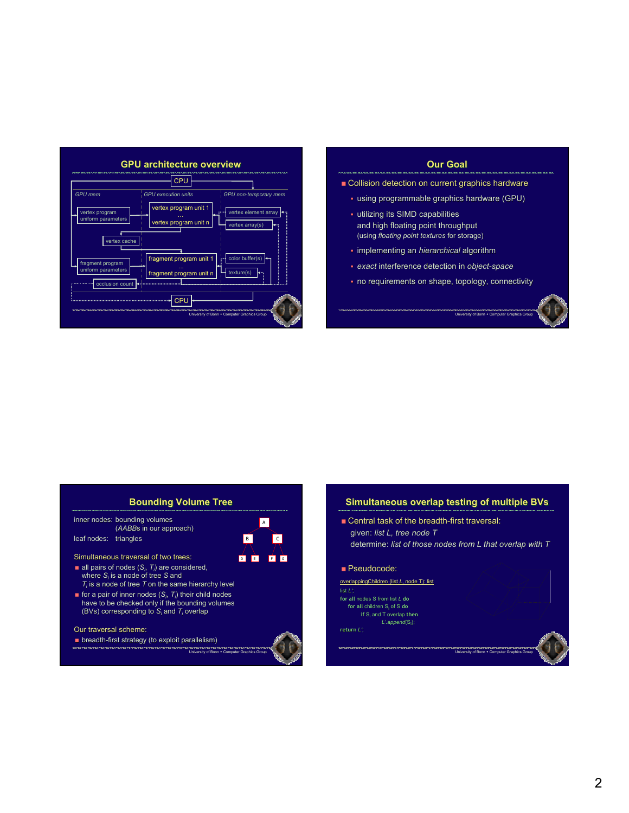

# **Our Our Goal Goal**

- Collision detection on current graphics hardware
	- using programmable graphics hardware (GPU)
	- utilizing its SIMD capabilities and high floating point throughput (using *floating point textures* for storage)
	- **· implementing an** *hierarchical* algorithm
	- *exact* interference detection in *object-space*
	- no requirements on shape, topology, connectivity

University of Bonn + Computer Graphics

#### **Bounding Volume Tree** inner nodes: bounding volumes (*AABB*s in our approach) leaf nodes: triangles Simultaneous traversal of two trees:  $\blacksquare$  all pairs of nodes  $(S_i, T_i)$  are considered, where *Si* is a node of tree *S* and  $T_i$  is a node of tree  $T$  on the same hierarchy level **for a pair of inner nodes**  $(S_i, T_i)$  **their child nodes** have to be checked only if the bounding volumes (BVs) corresponding to *Si* and *Ti* overlap Our traversal scheme: D E F G B C A

university of Bonn + Co

**breadth-first strategy (to exploit parallelism)** 



University of Bonn . Computer Graphics Group

# **Simultaneous overlap testing of multiple BVs**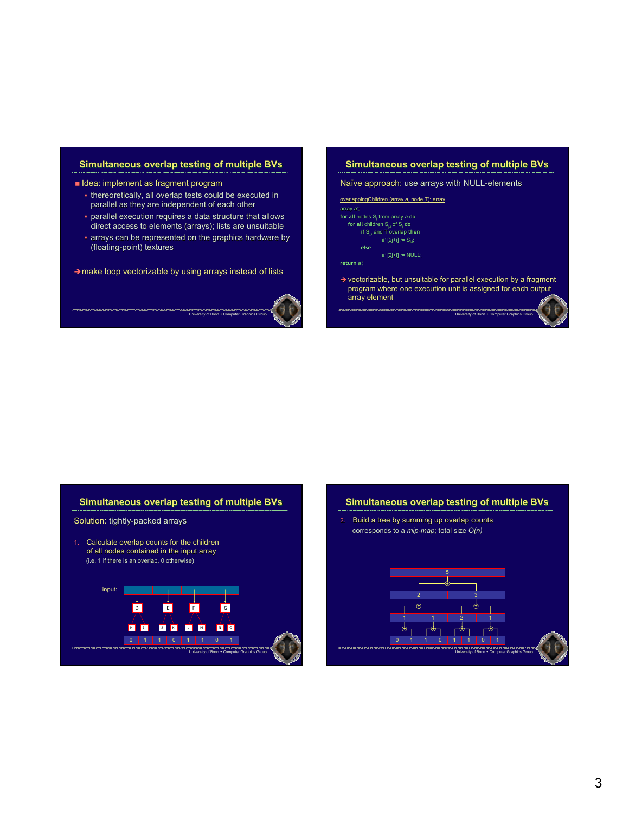# **Simultaneous overlap testing of multiple BVs**

- Idea: implement as fragment program
	- thereoretically, all overlap tests could be executed in parallel as they are independent of each other
	- parallel execution requires a data structure that allows direct access to elements (arrays); lists are unsuitable
	- arrays can be represented on the graphics hardware by (floating-point) textures

University of Bonn · Comp

 $\rightarrow$  make loop vectorizable by using arrays instead of lists



# **Simultaneous overlap testing of multiple BVs**

Naïve approach: use arrays with NULL-elements

| overlappingChildren (array a, node T): array                                                                                                    |
|-------------------------------------------------------------------------------------------------------------------------------------------------|
| array a':                                                                                                                                       |
| for all nodes S <sub>i</sub> from array a do                                                                                                    |
| for all children S <sub>ij</sub> of S <sub>i</sub> do                                                                                           |
| if $S_{ij}$ and T overlap then                                                                                                                  |
| $a'[2]+i] := S_{i'i}$                                                                                                                           |
| else                                                                                                                                            |
| $a'$ [2i+i] := NULL:                                                                                                                            |
| return a <sup>*</sup>                                                                                                                           |
| $\rightarrow$ vectorizable, but unsuitable for parallel execution by a fragment<br>program where one execution unit is assigned for each output |

University of Bonn + Computer Graphics

array element

### **Simultaneous overlap testing of multiple BVs**

#### Solution: tightly-packed arrays

1. Calculate overlap counts for the children of all nodes contained in the input array (i.e. 1 if there is an overlap, 0 otherwise)



#### **Simultaneous overlap testing of multiple BVs**

2. Build a tree by summing up overlap counts corresponds to a *mip-map*; total size *O(n)*

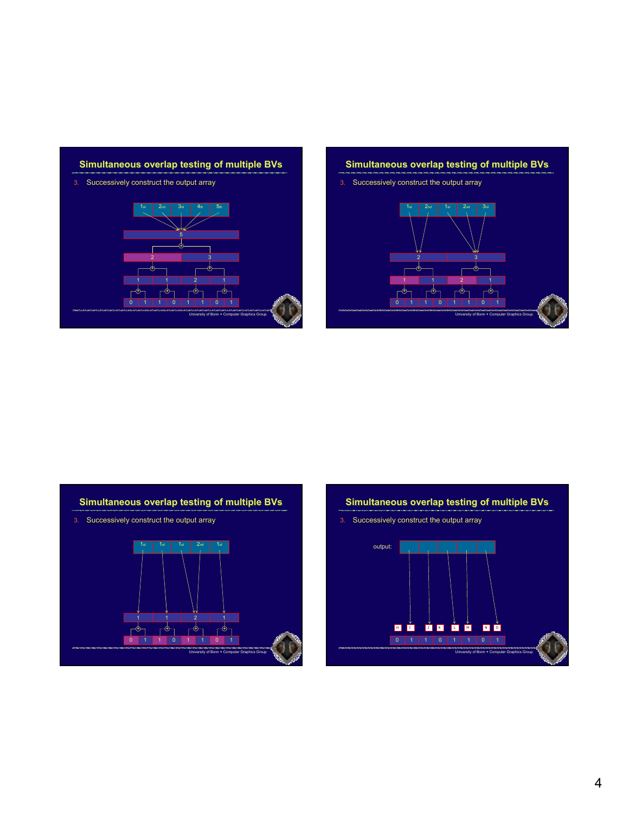# **Simultaneous overlap testing of multiple BVs**

3. Successively construct the output array



# **Simultaneous overlap testing of multiple BVs**

3. Successively construct the output array



# **Simultaneous overlap testing of multiple BVs**

3. Successively construct the output array



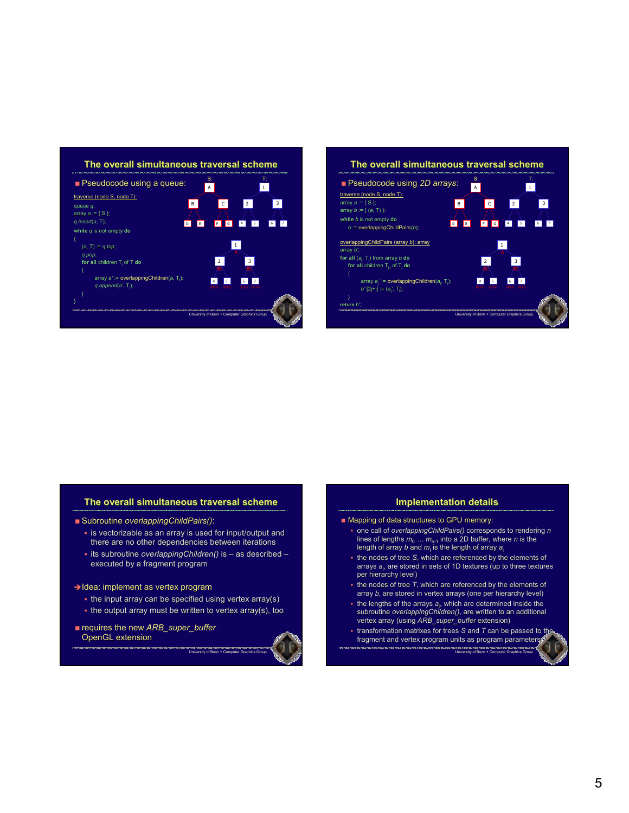



## **The overall simultaneous traversal scheme overall simultaneous traversal traversal scheme**

- Subroutine *overlappingChildPairs()*:
	- $\overline{\phantom{a}}$  is vectorizable as an array is used for input/output and there are no other dependencies between iterations
	- its subroutine *overlappingChildren()* is as described executed by a fragment program

#### $\rightarrow$  Idea: implement as vertex program

- $\blacksquare$  the input array can be specified using vertex array(s)
- $\blacksquare$  the output array must be written to vertex array(s), too

university of Bonn • Com

**requires the new ARB\_super\_buffer** OpenGL extension



#### **Implementation details**

- Mapping of data structures to GPU memory:
	- one call of *overlappingChildPairs()* corresponds to rendering *n* lines of lengths  $m_0 \ldots m_{n-1}$  into a 2D buffer, where *n* is the length of array *b* and *m*<sup>j</sup> is the length of array *a*<sup>j</sup>
	- the nodes of tree *S*, which are referenced by the elements of arrays *a*<sup>j</sup> , are stored in sets of 1D textures (up to three textures per hierarchy level)
	- $\blacksquare$  the nodes of tree  $T$ , which are referenced by the elements of array *b*, are stored in vertex arrays (one per hierarchy level)
	- the lengths of the arrays *a*<sup>j</sup> , which are determined inside the subroutine *overlappingChildren()*, are written to an additional vertex array (using *ARB\_super\_buffer* extension)
	- transformation matrixes for trees *S* and *T* can be passed to the fragment and vertex program units as program parameters

University of Bonn Computer Computer Graphics Graphics Graphics Graphics Graphics Graphics Graphics Graphics Gr